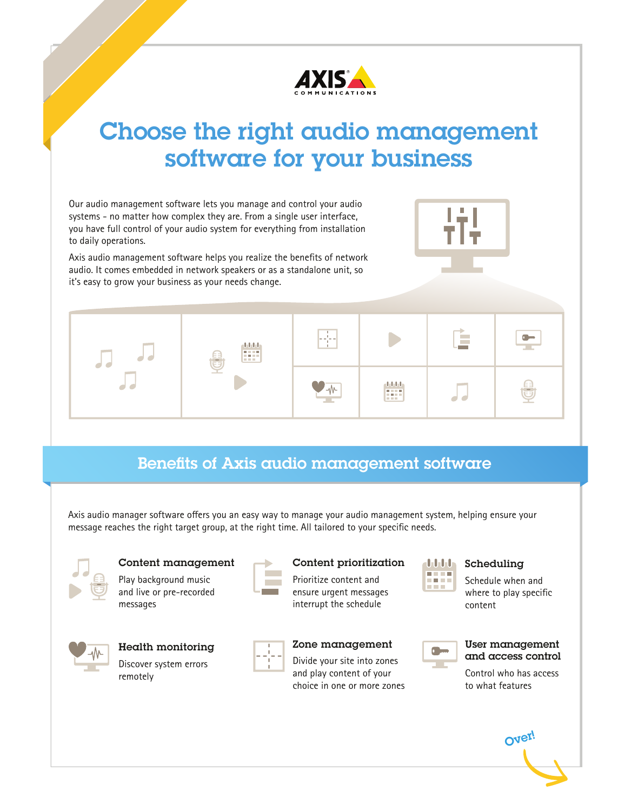

# Choose the right audio management software for your business

Our audio management software lets you manage and control your audio systems - no matter how complex they are. From a single user interface, you have full control of your audio system for everything from installation to daily operations.

Axis audio management software helps you realize the benefits of network audio. It comes embedded in network speakers or as a standalone unit, so it's easy to grow your business as your needs change.



# Benefits of Axis audio management software

Axis audio manager software offers you an easy way to manage your audio management system, helping ensure your message reaches the right target group, at the right time. All tailored to your specific needs.



### Content management

Play background music and live or pre-recorded messages

#### Content prioritization

Prioritize content and ensure urgent messages interrupt the schedule



Health monitoring

Discover system errors remotely



### Zone management

Divide your site into zones and play content of your choice in one or more zones



### Scheduling

Schedule when and where to play specific content

|  | Use |
|--|-----|
|  | and |
|  |     |

#### er management d access control

Control who has access to what features